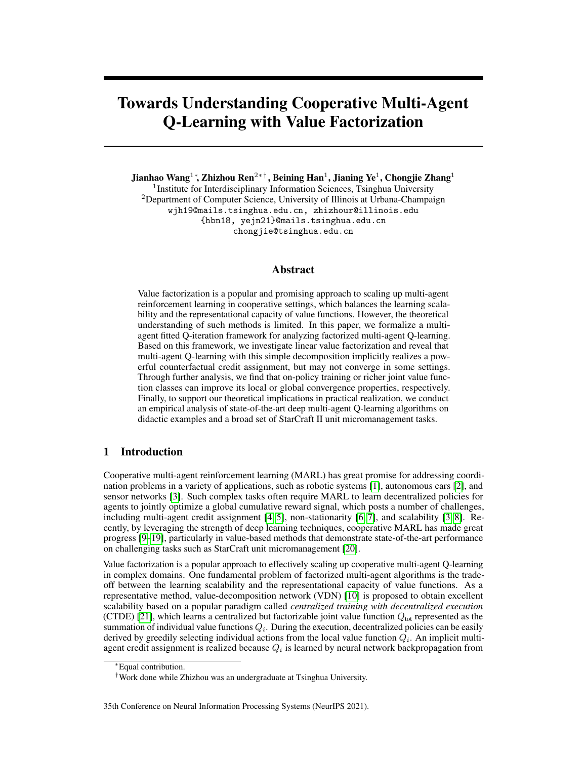# Towards Understanding Cooperative Multi-Agent Q-Learning with Value Factorization

Jianhao Wang $^{1*}$ , Zhizhou Ren $^{2* \dagger}$ , Beining Han $^{1}$ , Jianing Ye $^{1}$ , Chongjie Zhang $^{1}$ 

<sup>1</sup>Institute for Interdisciplinary Information Sciences, Tsinghua University <sup>2</sup>Department of Computer Science, University of Illinois at Urbana-Champaign wjh19@mails.tsinghua.edu.cn, zhizhour@illinois.edu {hbn18, yejn21}@mails.tsinghua.edu.cn chongjie@tsinghua.edu.cn

## Abstract

Value factorization is a popular and promising approach to scaling up multi-agent reinforcement learning in cooperative settings, which balances the learning scalability and the representational capacity of value functions. However, the theoretical understanding of such methods is limited. In this paper, we formalize a multiagent fitted Q-iteration framework for analyzing factorized multi-agent Q-learning. Based on this framework, we investigate linear value factorization and reveal that multi-agent Q-learning with this simple decomposition implicitly realizes a powerful counterfactual credit assignment, but may not converge in some settings. Through further analysis, we find that on-policy training or richer joint value function classes can improve its local or global convergence properties, respectively. Finally, to support our theoretical implications in practical realization, we conduct an empirical analysis of state-of-the-art deep multi-agent Q-learning algorithms on didactic examples and a broad set of StarCraft II unit micromanagement tasks.

# 1 Introduction

Cooperative multi-agent reinforcement learning (MARL) has great promise for addressing coordination problems in a variety of applications, such as robotic systems [\[1\]](#page-10-0), autonomous cars [\[2\]](#page-10-1), and sensor networks [\[3\]](#page-10-2). Such complex tasks often require MARL to learn decentralized policies for agents to jointly optimize a global cumulative reward signal, which posts a number of challenges, including multi-agent credit assignment [\[4,](#page-10-3) [5\]](#page-10-4), non-stationarity [\[6,](#page-10-5) [7\]](#page-10-6), and scalability [\[3,](#page-10-2) [8\]](#page-10-7). Recently, by leveraging the strength of deep learning techniques, cooperative MARL has made great progress [\[9–](#page-10-8)[19\]](#page-11-0), particularly in value-based methods that demonstrate state-of-the-art performance on challenging tasks such as StarCraft unit micromanagement [\[20\]](#page-11-1).

Value factorization is a popular approach to effectively scaling up cooperative multi-agent Q-learning in complex domains. One fundamental problem of factorized multi-agent algorithms is the tradeoff between the learning scalability and the representational capacity of value functions. As a representative method, value-decomposition network (VDN) [\[10\]](#page-10-9) is proposed to obtain excellent scalability based on a popular paradigm called *centralized training with decentralized execution* (CTDE) [\[21\]](#page-11-2), which learns a centralized but factorizable joint value function  $Q_{\text{tot}}$  represented as the summation of individual value functions  $Q_i$ . During the execution, decentralized policies can be easily derived by greedily selecting individual actions from the local value function  $Q_i$ . An implicit multiagent credit assignment is realized because  $Q_i$  is learned by neural network backpropagation from

<sup>∗</sup>Equal contribution.

<sup>†</sup>Work done while Zhizhou was an undergraduate at Tsinghua University.

<sup>35</sup>th Conference on Neural Information Processing Systems (NeurIPS 2021).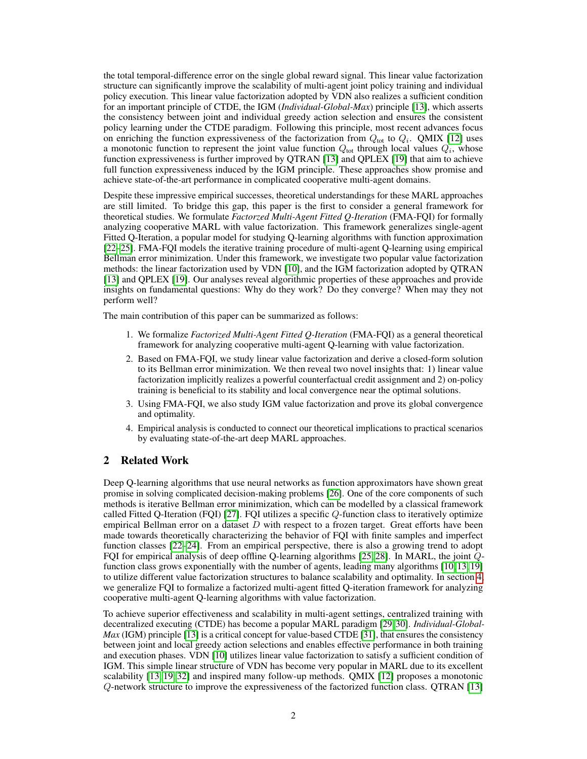the total temporal-difference error on the single global reward signal. This linear value factorization structure can significantly improve the scalability of multi-agent joint policy training and individual policy execution. This linear value factorization adopted by VDN also realizes a sufficient condition for an important principle of CTDE, the IGM (*Individual-Global-Max*) principle [\[13\]](#page-10-10), which asserts the consistency between joint and individual greedy action selection and ensures the consistent policy learning under the CTDE paradigm. Following this principle, most recent advances focus on enriching the function expressiveness of the factorization from  $Q_{\text{tot}}$  to  $Q_i$ . QMIX [\[12\]](#page-10-11) uses a monotonic function to represent the joint value function  $Q_{\text{tot}}$  through local values  $Q_i$ , whose function expressiveness is further improved by QTRAN [\[13\]](#page-10-10) and QPLEX [\[19\]](#page-11-0) that aim to achieve full function expressiveness induced by the IGM principle. These approaches show promise and achieve state-of-the-art performance in complicated cooperative multi-agent domains.

Despite these impressive empirical successes, theoretical understandings for these MARL approaches are still limited. To bridge this gap, this paper is the first to consider a general framework for theoretical studies. We formulate *Factorzed Multi-Agent Fitted Q-Iteration* (FMA-FQI) for formally analyzing cooperative MARL with value factorization. This framework generalizes single-agent Fitted Q-Iteration, a popular model for studying Q-learning algorithms with function approximation [\[22](#page-11-3)[–25\]](#page-11-4). FMA-FQI models the iterative training procedure of multi-agent Q-learning using empirical Bellman error minimization. Under this framework, we investigate two popular value factorization methods: the linear factorization used by VDN [\[10\]](#page-10-9), and the IGM factorization adopted by QTRAN [\[13\]](#page-10-10) and QPLEX [\[19\]](#page-11-0). Our analyses reveal algorithmic properties of these approaches and provide insights on fundamental questions: Why do they work? Do they converge? When may they not perform well?

The main contribution of this paper can be summarized as follows:

- 1. We formalize *Factorized Multi-Agent Fitted Q-Iteration* (FMA-FQI) as a general theoretical framework for analyzing cooperative multi-agent Q-learning with value factorization.
- 2. Based on FMA-FQI, we study linear value factorization and derive a closed-form solution to its Bellman error minimization. We then reveal two novel insights that: 1) linear value factorization implicitly realizes a powerful counterfactual credit assignment and 2) on-policy training is beneficial to its stability and local convergence near the optimal solutions.
- 3. Using FMA-FQI, we also study IGM value factorization and prove its global convergence and optimality.
- 4. Empirical analysis is conducted to connect our theoretical implications to practical scenarios by evaluating state-of-the-art deep MARL approaches.

# 2 Related Work

Deep Q-learning algorithms that use neural networks as function approximators have shown great promise in solving complicated decision-making problems [\[26\]](#page-11-5). One of the core components of such methods is iterative Bellman error minimization, which can be modelled by a classical framework called Fitted Q-Iteration (FQI) [\[27\]](#page-11-6). FQI utilizes a specific Q-function class to iteratively optimize empirical Bellman error on a dataset  $D$  with respect to a frozen target. Great efforts have been made towards theoretically characterizing the behavior of FQI with finite samples and imperfect function classes [\[22](#page-11-3)[–24\]](#page-11-7). From an empirical perspective, there is also a growing trend to adopt FQI for empirical analysis of deep offline Q-learning algorithms [\[25,](#page-11-4) [28\]](#page-11-8). In MARL, the joint Qfunction class grows exponentially with the number of agents, leading many algorithms [\[10,](#page-10-9) [13,](#page-10-10) [19\]](#page-11-0) to utilize different value factorization structures to balance scalability and optimality. In section [4,](#page-3-0) we generalize FQI to formalize a factorized multi-agent fitted Q-iteration framework for analyzing cooperative multi-agent Q-learning algorithms with value factorization.

To achieve superior effectiveness and scalability in multi-agent settings, centralized training with decentralized executing (CTDE) has become a popular MARL paradigm [\[29,](#page-11-9) [30\]](#page-11-10). *Individual-Global-Max* (IGM) principle [\[13\]](#page-10-10) is a critical concept for value-based CTDE [\[31\]](#page-11-11), that ensures the consistency between joint and local greedy action selections and enables effective performance in both training and execution phases. VDN [\[10\]](#page-10-9) utilizes linear value factorization to satisfy a sufficient condition of IGM. This simple linear structure of VDN has become very popular in MARL due to its excellent scalability [\[13,](#page-10-10) [19,](#page-11-0) [32\]](#page-11-12) and inspired many follow-up methods. QMIX [\[12\]](#page-10-11) proposes a monotonic Q-network structure to improve the expressiveness of the factorized function class. QTRAN [\[13\]](#page-10-10)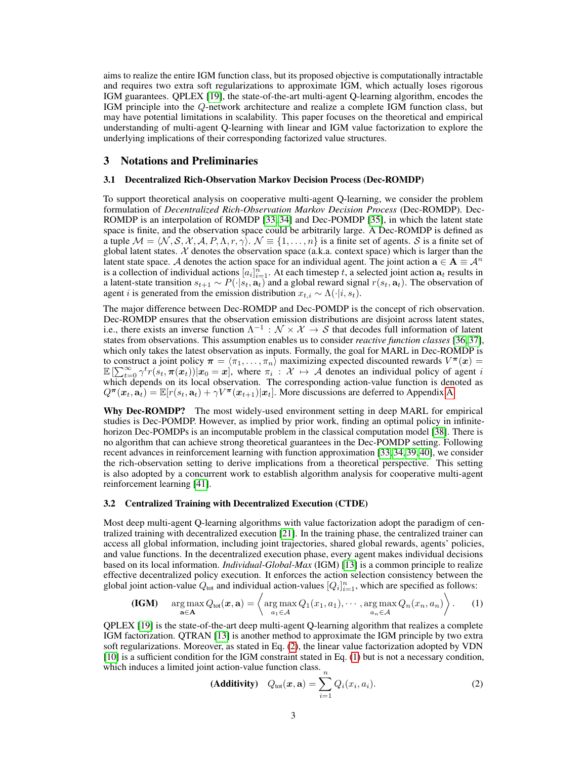aims to realize the entire IGM function class, but its proposed objective is computationally intractable and requires two extra soft regularizations to approximate IGM, which actually loses rigorous IGM guarantees. QPLEX [\[19\]](#page-11-0), the state-of-the-art multi-agent Q-learning algorithm, encodes the IGM principle into the Q-network architecture and realize a complete IGM function class, but may have potential limitations in scalability. This paper focuses on the theoretical and empirical understanding of multi-agent Q-learning with linear and IGM value factorization to explore the underlying implications of their corresponding factorized value structures.

## 3 Notations and Preliminaries

#### 3.1 Decentralized Rich-Observation Markov Decision Process (Dec-ROMDP)

To support theoretical analysis on cooperative multi-agent Q-learning, we consider the problem formulation of *Decentralized Rich-Observation Markov Decision Process* (Dec-ROMDP). Dec-ROMDP is an interpolation of ROMDP [\[33,](#page-11-13) [34\]](#page-11-14) and Dec-POMDP [\[35\]](#page-12-0), in which the latent state space is finite, and the observation space could be arbitrarily large. A Dec-ROMDP is defined as a tuple  $M = \langle N, S, X, A, P, \Lambda, r, \gamma \rangle$ .  $\mathcal{N} \equiv \{1, \ldots, n\}$  is a finite set of agents. S is a finite set of global latent states.  $\mathcal X$  denotes the observation space (a.k.a. context space) which is larger than the latent state space. A denotes the action space for an individual agent. The joint action  $a \in A \equiv A^n$ is a collection of individual actions  $[a_i]_{i=1}^n$ . At each timestep t, a selected joint action  $a_t$  results in a latent-state transition  $s_{t+1} \sim P(\cdot | s_t, \mathbf{a}_t)$  and a global reward signal  $r(s_t, \mathbf{a}_t)$ . The observation of agent *i* is generated from the emission distribution  $x_{t,i} \sim \Lambda(\cdot | i, s_t)$ .

The major difference between Dec-ROMDP and Dec-POMDP is the concept of rich observation. Dec-ROMDP ensures that the observation emission distributions are disjoint across latent states, i.e., there exists an inverse function  $\Lambda^{-1}$  :  $\mathcal{N} \times \mathcal{X} \to \mathcal{S}$  that decodes full information of latent states from observations. This assumption enables us to consider *reactive function classes* [\[36,](#page-12-1) [37\]](#page-12-2), which only takes the latest observation as inputs. Formally, the goal for MARL in Dec-ROMDP is to construct a joint policy  $\pi = \langle \pi_1, \ldots, \pi_n \rangle$  maximizing expected discounted rewards  $V^{\pi}(x) =$  $\mathbb{E} \left[ \sum_{t=0}^{\infty} \gamma^t r(s_t, \pi(x_t)) | x_0 = x \right],$  where  $\pi_i : \mathcal{X} \mapsto \mathcal{A}$  denotes an individual policy of agent i which depends on its local observation. The corresponding action-value function is denoted as  $Q^{\pi}(\mathbf{x}_t, \mathbf{a}_t) = \mathbb{E}[r(s_t, \mathbf{a}_t) + \gamma V^{\pi}(\mathbf{x}_{t+1}) | \mathbf{x}_t].$  More discussions are deferred to Appendix [A.](#page--1-0)

Why Dec-ROMDP? The most widely-used environment setting in deep MARL for empirical studies is Dec-POMDP. However, as implied by prior work, finding an optimal policy in infinitehorizon Dec-POMDPs is an incomputable problem in the classical computation model [\[38\]](#page-12-3). There is no algorithm that can achieve strong theoretical guarantees in the Dec-POMDP setting. Following recent advances in reinforcement learning with function approximation [\[33,](#page-11-13) [34,](#page-11-14) [39,](#page-12-4) [40\]](#page-12-5), we consider the rich-observation setting to derive implications from a theoretical perspective. This setting is also adopted by a concurrent work to establish algorithm analysis for cooperative multi-agent reinforcement learning [\[41\]](#page-12-6).

#### 3.2 Centralized Training with Decentralized Execution (CTDE)

Most deep multi-agent Q-learning algorithms with value factorization adopt the paradigm of centralized training with decentralized execution [\[21\]](#page-11-2). In the training phase, the centralized trainer can access all global information, including joint trajectories, shared global rewards, agents' policies, and value functions. In the decentralized execution phase, every agent makes individual decisions based on its local information. *Individual-Global-Max* (IGM) [\[13\]](#page-10-10) is a common principle to realize effective decentralized policy execution. It enforces the action selection consistency between the global joint action-value  $Q_{\text{tot}}$  and individual action-values  $[Q_i]_{i=1}^n$ , which are specified as follows:

(IGM) 
$$
\arg \max_{\mathbf{a} \in \mathbf{A}} Q_{\text{tot}}(\mathbf{x}, \mathbf{a}) = \left\langle \arg \max_{a_1 \in \mathcal{A}} Q_1(x_1, a_1), \cdots, \arg \max_{a_n \in \mathcal{A}} Q_n(x_n, a_n) \right\rangle.
$$
 (1)

QPLEX [\[19\]](#page-11-0) is the state-of-the-art deep multi-agent Q-learning algorithm that realizes a complete IGM factorization. QTRAN [\[13\]](#page-10-10) is another method to approximate the IGM principle by two extra soft regularizations. Moreover, as stated in Eq. [\(2\)](#page-2-0), the linear value factorization adopted by VDN [\[10\]](#page-10-9) is a sufficient condition for the IGM constraint stated in Eq. [\(1\)](#page-2-1) but is not a necessary condition, which induces a limited joint action-value function class.<br>
(**Additivity**)  $Q_{\text{tot}}(x, a) = \sum_{n=1}^{\infty}$ 

<span id="page-2-1"></span><span id="page-2-0"></span>
$$
(Additivity) \quad Q_{\text{tot}}(\boldsymbol{x}, \mathbf{a}) = \sum_{i=1} Q_i(x_i, a_i).
$$
 (2)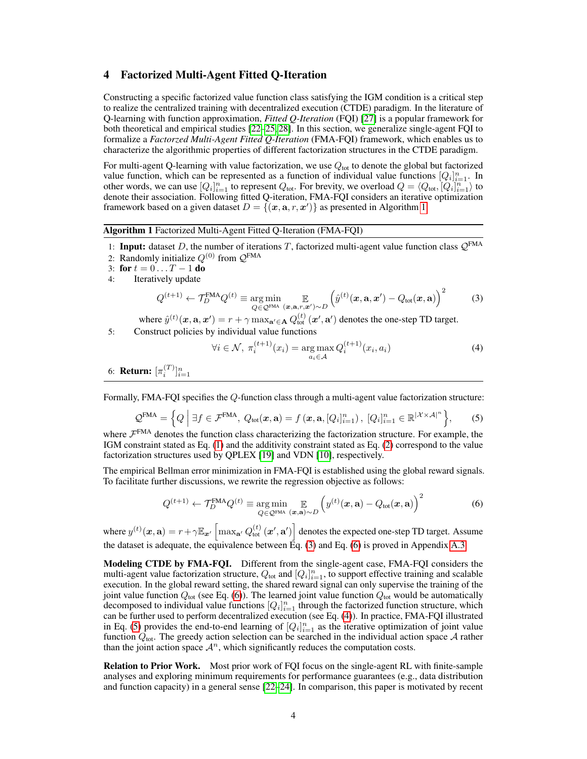## <span id="page-3-0"></span>4 Factorized Multi-Agent Fitted Q-Iteration

Constructing a specific factorized value function class satisfying the IGM condition is a critical step to realize the centralized training with decentralized execution (CTDE) paradigm. In the literature of Q-learning with function approximation, *Fitted Q-Iteration* (FQI) [\[27\]](#page-11-6) is a popular framework for both theoretical and empirical studies [\[22](#page-11-3)[–25,](#page-11-4) [28\]](#page-11-8). In this section, we generalize single-agent FQI to formalize a *Factorzed Multi-Agent Fitted Q-Iteration* (FMA-FQI) framework, which enables us to characterize the algorithmic properties of different factorization structures in the CTDE paradigm.

For multi-agent Q-learning with value factorization, we use  $Q_{\text{tot}}$  to denote the global but factorized value function, which can be represented as a function of individual value functions  $[Q_i]_{i=1}^n$ . In other words, we can use  $[Q_i]_{i=1}^n$  to represent  $Q_{\text{tot}}$ . For brevity, we overload  $Q = \langle Q_{\text{tot}}, [Q_i]_{i=1}^n \rangle$  to denote their association. Following fitted Q-iteration, FMA-FQI considers an iterative optimization framework based on a given dataset  $D = \{(\mathbf{x}, \mathbf{a}, r, \mathbf{x}')\}$  as presented in Algorithm [1.](#page-3-1)

<span id="page-3-1"></span>Algorithm 1 Factorized Multi-Agent Fitted Q-Iteration (FMA-FQI)

- 1: Input: dataset D, the number of iterations T, factorized multi-agent value function class  $\mathcal{Q}^{\text{FMA}}$ 2: Randomly initialize  $Q^{(0)}$  from  $Q^{\text{FMA}}$
- 3: for  $t = 0...T 1$  do
- 4: Iteratively update

$$
Q^{(t+1)} \leftarrow \mathcal{T}_D^{\text{FMA}} Q^{(t)} \equiv \underset{Q \in \mathcal{Q}^{\text{FMA}}}{\arg \min} \mathop{\mathbb{E}}_{(\mathbf{x}, \mathbf{a}, r, \mathbf{z}') \sim D} \left( \hat{y}^{(t)}(\mathbf{x}, \mathbf{a}, \mathbf{z}') - Q_{\text{tot}}(\mathbf{x}, \mathbf{a}) \right)^2 \tag{3}
$$

where  $\hat{y}^{(t)}(\bm{x},\mathbf{a},\bm{x}')=r+\gamma \max_{\mathbf{a}'\in \mathbf{A}}Q_{\text{tot}}^{(t)}\left(\bm{x}',\mathbf{a}'\right)$  denotes the one-step TD target. 5: Construct policies by individual value functions

<span id="page-3-5"></span><span id="page-3-4"></span><span id="page-3-3"></span><span id="page-3-2"></span>
$$
\forall i \in \mathcal{N}, \ \pi_i^{(t+1)}(x_i) = \underset{a_i \in \mathcal{A}}{\arg \max} Q_i^{(t+1)}(x_i, a_i)
$$
\n
$$
(4)
$$

6: **Return:**  $[\pi_i^{(T)}]_{i=1}^n$ 

Formally, FMA-FQI specifies the Q-function class through a multi-agent value factorization structure:

$$
\mathcal{Q}^{\text{FMA}} = \left\{ Q \mid \exists f \in \mathcal{F}^{\text{FMA}}, \ Q_{\text{tot}}(\boldsymbol{x}, \mathbf{a}) = f(\boldsymbol{x}, \mathbf{a}, [Q_i]_{i=1}^n), \ [Q_i]_{i=1}^n \in \mathbb{R}^{|\mathcal{X} \times \mathcal{A}|^n} \right\},\tag{5}
$$

where  $\mathcal{F}^{\text{FMA}}$  denotes the function class characterizing the factorization structure. For example, the IGM constraint stated as Eq. [\(1\)](#page-2-1) and the additivity constraint stated as Eq. [\(2\)](#page-2-0) correspond to the value factorization structures used by QPLEX [\[19\]](#page-11-0) and VDN [\[10\]](#page-10-9), respectively.

The empirical Bellman error minimization in FMA-FQI is established using the global reward signals. To facilitate further discussions, we rewrite the regression objective as follows:

$$
Q^{(t+1)} \leftarrow \mathcal{T}_D^{\text{FMA}} Q^{(t)} \equiv \underset{Q \in \mathcal{Q}^{\text{FMA}}}{\arg \min} \mathcal{E}_{(\mathbf{x}, \mathbf{a}) \sim D} \left( y^{(t)}(\mathbf{x}, \mathbf{a}) - Q_{\text{tot}}(\mathbf{x}, \mathbf{a}) \right)^2 \tag{6}
$$

where  $y^{(t)}(\bm{x},\mathbf{a})=r+\gamma\mathbb{E}_{\bm{x}'}\left[\max_{\mathbf{a}'}Q_{\text{tot}}^{(t)}\left(\bm{x}',\mathbf{a}'\right)\right]$  denotes the expected one-step TD target. Assume the dataset is adequate, the equivalence between  $\bar{E}q$ . [\(3\)](#page-3-2) and Eq. [\(6\)](#page-3-3) is proved in Appendix [A.3.](#page--1-1)

Modeling CTDE by FMA-FQI. Different from the single-agent case, FMA-FQI considers the multi-agent value factorization structure,  $Q_{\text{tot}}$  and  $[Q_i]_{i=1}^n$ , to support effective training and scalable execution. In the global reward setting, the shared reward signal can only supervise the training of the joint value function  $Q_{\text{tot}}$  (see Eq. [\(6\)](#page-3-3)). The learned joint value function  $Q_{\text{tot}}$  would be automatically decomposed to individual value functions  $[Q_i]_{i=1}^n$  through the factorized function structure, which can be further used to perform decentralized execution (see Eq. [\(4\)](#page-3-4)). In practice, FMA-FQI illustrated in Eq. [\(5\)](#page-3-5) provides the end-to-end learning of  $[Q_i]_{i=1}^n$  as the iterative optimization of joint value function  $Q_{\text{tot}}$ . The greedy action selection can be searched in the individual action space A rather than the joint action space  $\mathcal{A}^n$ , which significantly reduces the computation costs.

Relation to Prior Work. Most prior work of FQI focus on the single-agent RL with finite-sample analyses and exploring minimum requirements for performance guarantees (e.g., data distribution and function capacity) in a general sense [\[22](#page-11-3)[–24\]](#page-11-7). In comparison, this paper is motivated by recent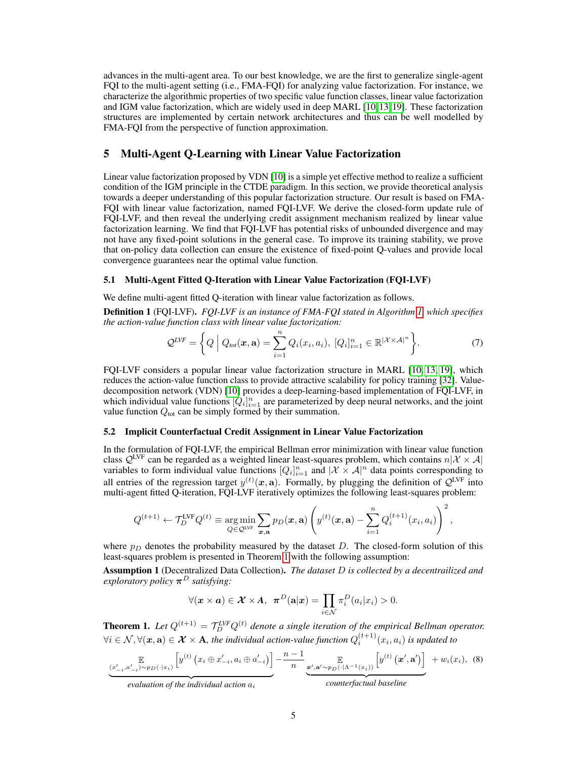advances in the multi-agent area. To our best knowledge, we are the first to generalize single-agent FQI to the multi-agent setting (i.e., FMA-FQI) for analyzing value factorization. For instance, we characterize the algorithmic properties of two specific value function classes, linear value factorization and IGM value factorization, which are widely used in deep MARL [\[10,](#page-10-9) [13,](#page-10-10) [19\]](#page-11-0). These factorization structures are implemented by certain network architectures and thus can be well modelled by FMA-FQI from the perspective of function approximation.

# <span id="page-4-2"></span>5 Multi-Agent Q-Learning with Linear Value Factorization

Linear value factorization proposed by VDN [\[10\]](#page-10-9) is a simple yet effective method to realize a sufficient condition of the IGM principle in the CTDE paradigm. In this section, we provide theoretical analysis towards a deeper understanding of this popular factorization structure. Our result is based on FMA-FQI with linear value factorization, named FQI-LVF. We derive the closed-form update rule of FQI-LVF, and then reveal the underlying credit assignment mechanism realized by linear value factorization learning. We find that FQI-LVF has potential risks of unbounded divergence and may not have any fixed-point solutions in the general case. To improve its training stability, we prove that on-policy data collection can ensure the existence of fixed-point Q-values and provide local convergence guarantees near the optimal value function.

#### 5.1 Multi-Agent Fitted Q-Iteration with Linear Value Factorization (FQI-LVF)

We define multi-agent fitted Q-iteration with linear value factorization as follows.

<span id="page-4-3"></span>Definition 1 (FQI-LVF). *FQI-LVF is an instance of FMA-FQI stated in Algorithm [1,](#page-3-1) which specifies the action-value function class with linear value factorization:*

$$
\mathcal{Q}^{LVF} = \left\{ Q \mid Q_{tot}(\boldsymbol{x}, \mathbf{a}) = \sum_{i=1}^{n} Q_i(x_i, a_i), \ [Q_i]_{i=1}^{n} \in \mathbb{R}^{|\mathcal{X} \times \mathcal{A}|^{n}} \right\}.
$$
 (7)

FQI-LVF considers a popular linear value factorization structure in MARL [\[10,](#page-10-9) [13,](#page-10-10) [19\]](#page-11-0), which reduces the action-value function class to provide attractive scalability for policy training [\[32\]](#page-11-12). Valuedecomposition network (VDN) [\[10\]](#page-10-9) provides a deep-learning-based implementation of FQI-LVF, in which individual value functions  $[Q_i]_{i=1}^n$  are parameterized by deep neural networks, and the joint value function  $Q_{\text{tot}}$  can be simply formed by their summation.

## 5.2 Implicit Counterfactual Credit Assignment in Linear Value Factorization

In the formulation of FQI-LVF, the empirical Bellman error minimization with linear value function class  $\mathcal{Q}^{\text{LVF}}$  can be regarded as a weighted linear least-squares problem, which contains  $n|\mathcal{X} \times \mathcal{A}|$ variables to form individual value functions  $[Q_i]_{i=1}^n$  and  $|\mathcal{X} \times \mathcal{A}|^n$  data points corresponding to all entries of the regression target  $y^{(t)}(x, a)$ . Formally, by plugging the definition of  $\mathcal{Q}^{\text{LVF}}$  into multi-agent fitted Q-iteration, FQI-LVF iteratively optimizes the following least-squares problem:

$$
Q^{(t+1)} \leftarrow \mathcal{T}_D^{\text{LVF}} Q^{(t)} \equiv \underset{Q \in \mathcal{Q}^{\text{LVF}}} {\arg \min} \sum_{\mathbf{x}, \mathbf{a}} p_D(\mathbf{x}, \mathbf{a}) \left( y^{(t)}(\mathbf{x}, \mathbf{a}) - \sum_{i=1}^n Q_i^{(t+1)}(x_i, a_i) \right)^2,
$$

where  $p_D$  denotes the probability measured by the dataset D. The closed-form solution of this least-squares problem is presented in Theorem [1](#page-4-0) with the following assumption:

Assumption 1 (Decentralized Data Collection). *The dataset* D *is collected by a decentrailized and exploratory policy* π <sup>D</sup> *satisfying:*

$$
\forall (\boldsymbol{x} \times \boldsymbol{a}) \in \boldsymbol{\mathcal{X}} \times \boldsymbol{A}, \ \ \boldsymbol{\pi}^D(\mathbf{a}|\boldsymbol{x}) = \prod_{i \in \mathcal{N}} \pi_i^D(a_i|x_i) > 0.
$$

<span id="page-4-0"></span>**Theorem 1.** Let  $Q^{(t+1)} = \mathcal{T}_D^{LVF} Q^{(t)}$  denote a single iteration of the empirical Bellman operator.  $\forall i\in\mathcal{N},\forall(\bm{x},\mathbf{a})\in\bm{\mathcal{X}}\times\mathbf{A},$  the individual action-value function  $Q_i^{(t+1)}(x_i,a_i)$  is updated to

$$
\underbrace{\mathbb{E}_{(x'_{-i},a'_{-i})\sim p_D(\cdot|x_i)}\left[y^{(t)}\left(x_i\oplus x'_{-i},a_i\oplus a'_{-i}\right)\right]}_{\text{max.}} - \underbrace{\mathbb{E}_{n\rightarrow\mathbb{E}_{(x'_{-i},a'\sim p_D(\cdot|\Lambda^{-1}(x_i)))}\left[y^{(t)}\left(x',\mathbf{a}'\right)\right]}_{\text{max.}} + w_i(x_i),\tag{8}
$$

| {z } *evaluation of the individual action* a<sup>i</sup>

<span id="page-4-1"></span>| {z } *counterfactual baseline*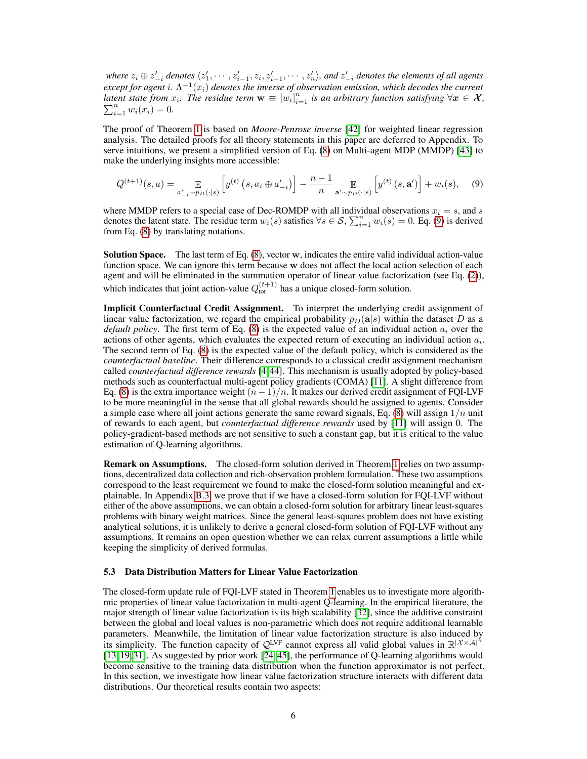where  $z_i \oplus z'_{-i}$  denotes  $\langle z_1', \cdots, z_{i-1}', z_i, z_{i+1}', \cdots, z_n' \rangle$ , and  $z'_{-i}$  denotes the elements of all agents except for agent  $i$ .  $\Lambda^{-1}(x_i)$  denotes the inverse of observation emission, which decodes the current *latent state from*  $x_i$ . The residue term  $\mathbf{w} \equiv [w_i]_{i=1}^n$  is an arbitrary function satisfying  $\forall x \in \mathcal{X}$ ,  $\sum_{i=1}^{n} w_i(x_i) = 0.$ 

The proof of Theorem [1](#page-4-0) is based on *Moore-Penrose inverse* [\[42\]](#page-12-7) for weighted linear regression analysis. The detailed proofs for all theory statements in this paper are deferred to Appendix. To serve intuitions, we present a simplified version of Eq. [\(8\)](#page-4-1) on Multi-agent MDP (MMDP) [\[43\]](#page-12-8) to make the underlying insights more accessible:

<span id="page-5-0"></span>
$$
Q^{(t+1)}(s,a) = \mathop{\mathbb{E}}_{a'_{-i} \sim p_D(\cdot|s)} \left[ y^{(t)} \left( s, a_i \oplus a'_{-i} \right) \right] - \frac{n-1}{n} \mathop{\mathbb{E}}_{\mathbf{a}' \sim p_D(\cdot|s)} \left[ y^{(t)} \left( s, \mathbf{a}' \right) \right] + w_i(s), \quad (9)
$$

where MMDP refers to a special case of Dec-ROMDP with all individual observations  $x_i = s$ , and s denotes the latent state. The residue term  $w_i(s)$  satisfies  $\forall s \in S$ ,  $\sum_{i=1}^n w_i(s) = 0$ . Eq. [\(9\)](#page-5-0) is derived from Eq. [\(8\)](#page-4-1) by translating notations.

Solution Space. The last term of Eq. [\(8\)](#page-4-1), vector w, indicates the entire valid individual action-value function space. We can ignore this term because w does not affect the local action selection of each agent and will be eliminated in the summation operator of linear value factorization (see Eq. [\(2\)](#page-2-0)), which indicates that joint action-value  $Q_{\text{tot}}^{(t+1)}$  has a unique closed-form solution.

Implicit Counterfactual Credit Assignment. To interpret the underlying credit assignment of linear value factorization, we regard the empirical probability  $p_D(a|s)$  within the dataset D as a *default policy*. The first term of Eq.  $(8)$  is the expected value of an individual action  $a_i$  over the actions of other agents, which evaluates the expected return of executing an individual action  $a_i$ . The second term of Eq. [\(8\)](#page-4-1) is the expected value of the default policy, which is considered as the *counterfactual baseline*. Their difference corresponds to a classical credit assignment mechanism called *counterfactual difference rewards* [\[4,](#page-10-3) [44\]](#page-12-9). This mechanism is usually adopted by policy-based methods such as counterfactual multi-agent policy gradients (COMA) [\[11\]](#page-10-12). A slight difference from Eq. [\(8\)](#page-4-1) is the extra importance weight  $(n - 1)/n$ . It makes our derived credit assignment of FQI-LVF to be more meaningful in the sense that all global rewards should be assigned to agents. Consider a simple case where all joint actions generate the same reward signals, Eq.  $(8)$  will assign  $1/n$  unit of rewards to each agent, but *counterfactual difference rewards* used by [\[11\]](#page-10-12) will assign 0. The policy-gradient-based methods are not sensitive to such a constant gap, but it is critical to the value estimation of Q-learning algorithms.

Remark on Assumptions. The closed-form solution derived in Theorem [1](#page-4-0) relies on two assumptions, decentralized data collection and rich-observation problem formulation. These two assumptions correspond to the least requirement we found to make the closed-form solution meaningful and explainable. In Appendix [B.3,](#page--1-2) we prove that if we have a closed-form solution for FQI-LVF without either of the above assumptions, we can obtain a closed-form solution for arbitrary linear least-squares problems with binary weight matrices. Since the general least-squares problem does not have existing analytical solutions, it is unlikely to derive a general closed-form solution of FQI-LVF without any assumptions. It remains an open question whether we can relax current assumptions a little while keeping the simplicity of derived formulas.

#### 5.3 Data Distribution Matters for Linear Value Factorization

The closed-form update rule of FQI-LVF stated in Theorem [1](#page-4-0) enables us to investigate more algorithmic properties of linear value factorization in multi-agent Q-learning. In the empirical literature, the major strength of linear value factorization is its high scalability [\[32\]](#page-11-12), since the additive constraint between the global and local values is non-parametric which does not require additional learnable parameters. Meanwhile, the limitation of linear value factorization structure is also induced by its simplicity. The function capacity of  $\mathcal{Q}^{LVF}$  cannot express all valid global values in  $\mathbb{R}^{|\mathcal{X}\times\mathcal{A}|^n}$ [\[13,](#page-10-10) [19,](#page-11-0) [31\]](#page-11-11). As suggested by prior work [\[24,](#page-11-7) [45\]](#page-12-10), the performance of Q-learning algorithms would become sensitive to the training data distribution when the function approximator is not perfect. In this section, we investigate how linear value factorization structure interacts with different data distributions. Our theoretical results contain two aspects: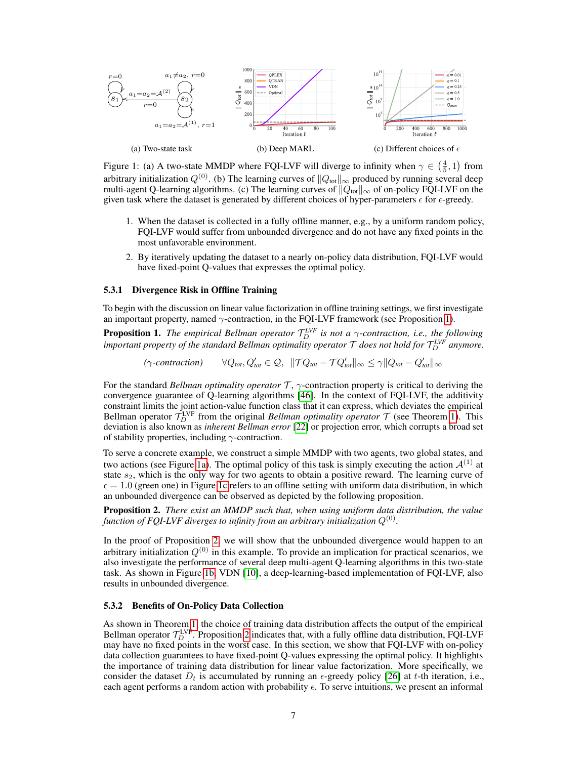<span id="page-6-1"></span>

Figure 1: (a) A two-state MMDP where FQI-LVF will diverge to infinity when  $\gamma \in \left(\frac{4}{5}, 1\right)$  from arbitrary initialization  $Q^{(0)}$ . (b) The learning curves of  $||Q_{tot}||_{\infty}$  produced by running several deep multi-agent Q-learning algorithms. (c) The learning curves of  $||Q_{\text{tot}}||_{\infty}$  of on-policy FQI-LVF on the given task where the dataset is generated by different choices of hyper-parameters  $\epsilon$  for  $\epsilon$ -greedy.

- 1. When the dataset is collected in a fully offline manner, e.g., by a uniform random policy, FQI-LVF would suffer from unbounded divergence and do not have any fixed points in the most unfavorable environment.
- 2. By iteratively updating the dataset to a nearly on-policy data distribution, FQI-LVF would have fixed-point Q-values that expresses the optimal policy.

#### 5.3.1 Divergence Risk in Offline Training

To begin with the discussion on linear value factorization in offline training settings, we first investigate an important property, named  $\gamma$ -contraction, in the FQI-LVF framework (see Proposition [1\)](#page-6-0).

<span id="page-6-0"></span>**Proposition 1.** *The empirical Bellman operator*  $\mathcal{T}_D^{LVF}$  *is not a*  $\gamma$ -contraction, *i.e., the following* important property of the standard Bellman optimality operator  $\mathcal T$  does not hold for  $\mathcal T_D^{LVF}$  anymore.

> *(*γ*-contraction)* ∀Q*tot*, Q<sup>0</sup>  $\mathcal{T}_{tot} \in \mathcal{Q}, \ \ \|\mathcal{T} Q_{tot} - \mathcal{T} Q_{tot}'\|_\infty \leq \gamma \|Q_{tot} - Q_{tot}'\|_\infty$

For the standard *Bellman optimality operator* T , γ-contraction property is critical to deriving the convergence guarantee of Q-learning algorithms [\[46\]](#page-12-11). In the context of FQI-LVF, the additivity constraint limits the joint action-value function class that it can express, which deviates the empirical Bellman operator  $\mathcal{T}_D^{\text{LVF}}$  from the original *Bellman optimality operator*  $\mathcal T$  (see Theorem [1\)](#page-4-0). This deviation is also known as *inherent Bellman error* [\[22\]](#page-11-3) or projection error, which corrupts a broad set of stability properties, including  $\gamma$ -contraction.

To serve a concrete example, we construct a simple MMDP with two agents, two global states, and two actions (see Figure [1a\)](#page-6-1). The optimal policy of this task is simply executing the action  $\mathcal{A}^{(1)}$  at state  $s_2$ , which is the only way for two agents to obtain a positive reward. The learning curve of  $\epsilon = 1.0$  (green one) in Figure [1c](#page-6-1) refers to an offline setting with uniform data distribution, in which an unbounded divergence can be observed as depicted by the following proposition.

<span id="page-6-2"></span>Proposition 2. *There exist an MMDP such that, when using uniform data distribution, the value* function of FQI-LVF diverges to infinity from an arbitrary initialization  $Q^{(0)}.$ 

In the proof of Proposition [2,](#page-6-2) we will show that the unbounded divergence would happen to an arbitrary initialization  $Q^{(0)}$  in this example. To provide an implication for practical scenarios, we also investigate the performance of several deep multi-agent Q-learning algorithms in this two-state task. As shown in Figure [1b,](#page-6-1) VDN [\[10\]](#page-10-9), a deep-learning-based implementation of FQI-LVF, also results in unbounded divergence.

#### 5.3.2 Benefits of On-Policy Data Collection

As shown in Theorem [1,](#page-4-0) the choice of training data distribution affects the output of the empirical Bellman operator  $\mathcal{T}_D^{\text{LVF}}$ . Proposition [2](#page-6-2) indicates that, with a fully offline data distribution, FQI-LVF may have no fixed points in the worst case. In this section, we show that FQI-LVF with on-policy data collection guarantees to have fixed-point Q-values expressing the optimal policy. It highlights the importance of training data distribution for linear value factorization. More specifically, we consider the dataset  $D_t$  is accumulated by running an  $\epsilon$ -greedy policy [\[26\]](#page-11-5) at t-th iteration, i.e., each agent performs a random action with probability  $\epsilon$ . To serve intuitions, we present an informal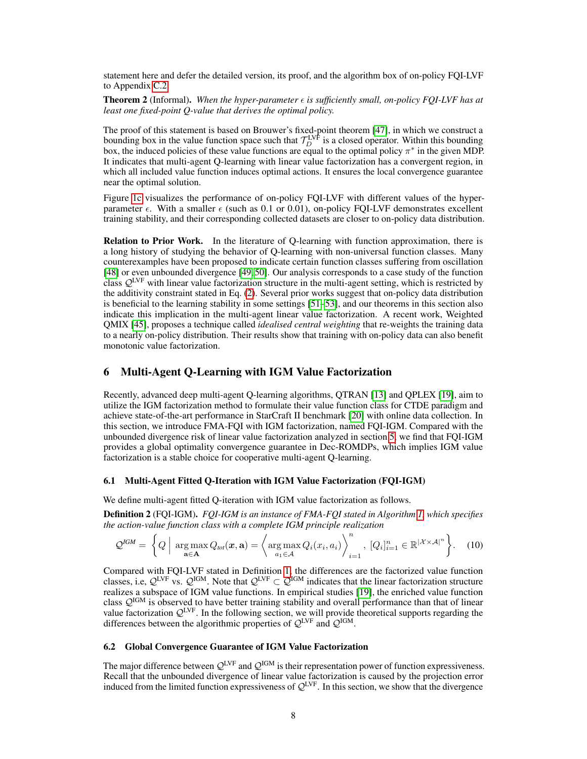statement here and defer the detailed version, its proof, and the algorithm box of on-policy FQI-LVF to Appendix [C.2.](#page--1-0)

<span id="page-7-0"></span>**Theorem 2** (Informal). When the hyper-parameter  $\epsilon$  is sufficiently small, on-policy FQI-LVF has at *least one fixed-point Q-value that derives the optimal policy.*

The proof of this statement is based on Brouwer's fixed-point theorem [\[47\]](#page-12-12), in which we construct a bounding box in the value function space such that  $\mathcal{T}_D^{LVF}$  is a closed operator. Within this bounding box, the induced policies of these value functions are equal to the optimal policy  $\pi^*$  in the given MDP. It indicates that multi-agent Q-learning with linear value factorization has a convergent region, in which all included value function induces optimal actions. It ensures the local convergence guarantee near the optimal solution.

Figure [1c](#page-6-1) visualizes the performance of on-policy FQI-LVF with different values of the hyperparameter  $\epsilon$ . With a smaller  $\epsilon$  (such as 0.1 or 0.01), on-policy FQI-LVF demonstrates excellent training stability, and their corresponding collected datasets are closer to on-policy data distribution.

Relation to Prior Work. In the literature of Q-learning with function approximation, there is a long history of studying the behavior of Q-learning with non-universal function classes. Many counterexamples have been proposed to indicate certain function classes suffering from oscillation [\[48\]](#page-12-13) or even unbounded divergence [\[49,](#page-12-14) [50\]](#page-12-15). Our analysis corresponds to a case study of the function class QLVF with linear value factorization structure in the multi-agent setting, which is restricted by the additivity constraint stated in Eq. [\(2\)](#page-2-0). Several prior works suggest that on-policy data distribution is beneficial to the learning stability in some settings [\[51](#page-12-16)[–53\]](#page-12-17), and our theorems in this section also indicate this implication in the multi-agent linear value factorization. A recent work, Weighted QMIX [\[45\]](#page-12-10), proposes a technique called *idealised central weighting* that re-weights the training data to a nearly on-policy distribution. Their results show that training with on-policy data can also benefit monotonic value factorization.

## 6 Multi-Agent Q-Learning with IGM Value Factorization

Recently, advanced deep multi-agent Q-learning algorithms, QTRAN [\[13\]](#page-10-10) and QPLEX [\[19\]](#page-11-0), aim to utilize the IGM factorization method to formulate their value function class for CTDE paradigm and achieve state-of-the-art performance in StarCraft II benchmark [\[20\]](#page-11-1) with online data collection. In this section, we introduce FMA-FQI with IGM factorization, named FQI-IGM. Compared with the unbounded divergence risk of linear value factorization analyzed in section [5,](#page-4-2) we find that FQI-IGM provides a global optimality convergence guarantee in Dec-ROMDPs, which implies IGM value factorization is a stable choice for cooperative multi-agent Q-learning.

#### 6.1 Multi-Agent Fitted Q-Iteration with IGM Value Factorization (FQI-IGM)

We define multi-agent fitted Q-iteration with IGM value factorization as follows.

Definition 2 (FQI-IGM). *FQI-IGM is an instance of FMA-FQI stated in Algorithm [1,](#page-3-1) which specifies the action-value function class with a complete IGM principle realization*

$$
\mathcal{Q}^{IGM} = \left\{ Q \mid \underset{\mathbf{a} \in \mathbf{A}}{\arg \max} Q_{tot}(\mathbf{x}, \mathbf{a}) = \left\langle \underset{a_1 \in \mathcal{A}}{\arg \max} Q_i(x_i, a_i) \right\rangle_{i=1}^n, [Q_i]_{i=1}^n \in \mathbb{R}^{|\mathcal{X} \times \mathcal{A}|^n} \right\}.
$$
 (10)

Compared with FQI-LVF stated in Definition [1,](#page-4-3) the differences are the factorized value function classes, i.e,  $\mathcal{Q}^{LVF}$  vs.  $\mathcal{Q}^{IGM}$ . Note that  $\mathcal{Q}^{LVF} \subset \mathcal{Q}^{IGM}$  indicates that the linear factorization structure realizes a subspace of IGM value functions. In empirical studies [\[19\]](#page-11-0), the enriched value function class  $\mathcal{Q}^{\text{IGM}}$  is observed to have better training stability and overall performance than that of linear value factorization  $\mathcal{Q}^{\text{LVF}}$ . In the following section, we will provide theoretical supports regarding the differences between the algorithmic properties of  $\mathcal{Q}^{\text{LVF}}$  and  $\mathcal{Q}^{\text{IGM}}$ .

# 6.2 Global Convergence Guarantee of IGM Value Factorization

The major difference between  $\mathcal{Q}^{LVF}$  and  $\mathcal{Q}^{IGM}$  is their representation power of function expressiveness. Recall that the unbounded divergence of linear value factorization is caused by the projection error induced from the limited function expressiveness of  $\mathcal{Q}^{\text{LVF}}$ . In this section, we show that the divergence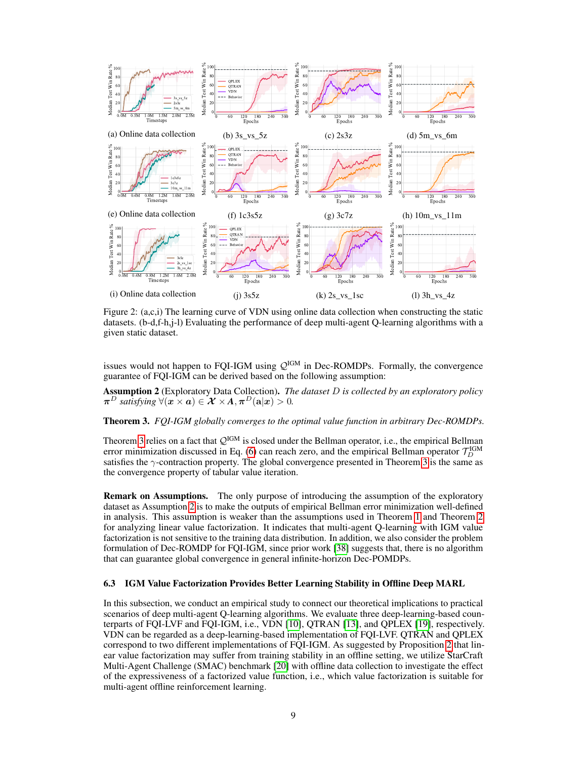<span id="page-8-2"></span>

Figure 2: (a,c,i) The learning curve of VDN using online data collection when constructing the static datasets. (b-d,f-h,j-l) Evaluating the performance of deep multi-agent Q-learning algorithms with a given static dataset.

issues would not happen to FQI-IGM using  $Q^{IGM}$  in Dec-ROMDPs. Formally, the convergence guarantee of FQI-IGM can be derived based on the following assumption:

<span id="page-8-1"></span>Assumption 2 (Exploratory Data Collection). *The dataset* D *is collected by an exploratory policy*  $\pi^D$  *satisfying*  $\forall$  $(x \times a) \in \mathcal{X} \times A$ ,  $\pi^D(a|x) > 0$ .

#### <span id="page-8-0"></span>Theorem 3. *FQI-IGM globally converges to the optimal value function in arbitrary Dec-ROMDPs.*

Theorem [3](#page-8-0) relies on a fact that  $Q^{IGM}$  is closed under the Bellman operator, i.e., the empirical Bellman error minimization discussed in Eq. [\(6\)](#page-3-3) can reach zero, and the empirical Bellman operator  $\mathcal{T}_D^{\text{IGM}}$ satisfies the  $\gamma$ -contraction property. The global convergence presented in Theorem [3](#page-8-0) is the same as the convergence property of tabular value iteration.

Remark on Assumptions. The only purpose of introducing the assumption of the exploratory dataset as Assumption [2](#page-8-1) is to make the outputs of empirical Bellman error minimization well-defined in analysis. This assumption is weaker than the assumptions used in Theorem [1](#page-4-0) and Theorem [2](#page-7-0) for analyzing linear value factorization. It indicates that multi-agent Q-learning with IGM value factorization is not sensitive to the training data distribution. In addition, we also consider the problem formulation of Dec-ROMDP for FQI-IGM, since prior work [\[38\]](#page-12-3) suggests that, there is no algorithm that can guarantee global convergence in general infinite-horizon Dec-POMDPs.

#### 6.3 IGM Value Factorization Provides Better Learning Stability in Offline Deep MARL

In this subsection, we conduct an empirical study to connect our theoretical implications to practical scenarios of deep multi-agent Q-learning algorithms. We evaluate three deep-learning-based counterparts of FQI-LVF and FQI-IGM, i.e., VDN [\[10\]](#page-10-9), QTRAN [\[13\]](#page-10-10), and QPLEX [\[19\]](#page-11-0), respectively. VDN can be regarded as a deep-learning-based implementation of FQI-LVF. QTRAN and QPLEX correspond to two different implementations of FQI-IGM. As suggested by Proposition [2](#page-6-2) that linear value factorization may suffer from training stability in an offline setting, we utilize StarCraft Multi-Agent Challenge (SMAC) benchmark [\[20\]](#page-11-1) with offline data collection to investigate the effect of the expressiveness of a factorized value function, i.e., which value factorization is suitable for multi-agent offline reinforcement learning.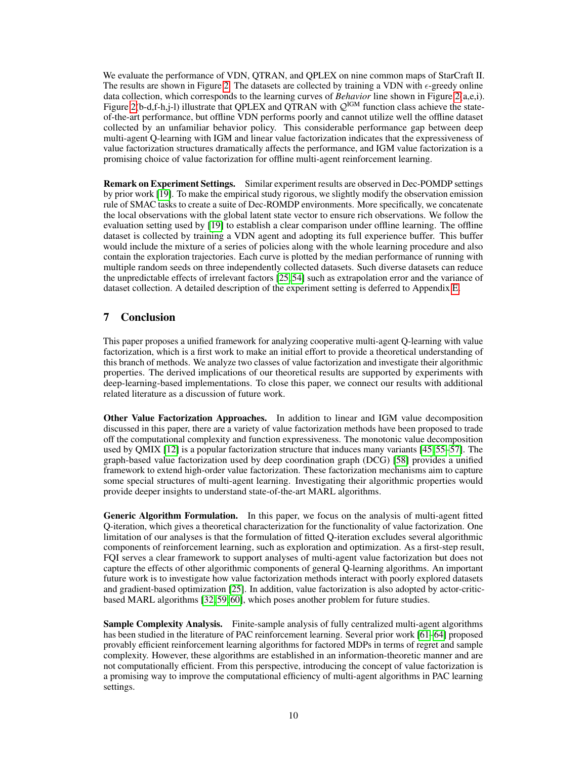We evaluate the performance of VDN, QTRAN, and QPLEX on nine common maps of StarCraft II. The results are shown in Figure [2.](#page-8-2) The datasets are collected by training a VDN with  $\epsilon$ -greedy online data collection, which corresponds to the learning curves of *Behavior* line shown in Figure [2\(](#page-8-2)a,e,i). Figure [2\(](#page-8-2)b-d,f-h,j-l) illustrate that QPLEX and QTRAN with  $\mathcal{Q}^{IGM}$  function class achieve the stateof-the-art performance, but offline VDN performs poorly and cannot utilize well the offline dataset collected by an unfamiliar behavior policy. This considerable performance gap between deep multi-agent Q-learning with IGM and linear value factorization indicates that the expressiveness of value factorization structures dramatically affects the performance, and IGM value factorization is a promising choice of value factorization for offline multi-agent reinforcement learning.

Remark on Experiment Settings. Similar experiment results are observed in Dec-POMDP settings by prior work [\[19\]](#page-11-0). To make the empirical study rigorous, we slightly modify the observation emission rule of SMAC tasks to create a suite of Dec-ROMDP environments. More specifically, we concatenate the local observations with the global latent state vector to ensure rich observations. We follow the evaluation setting used by [\[19\]](#page-11-0) to establish a clear comparison under offline learning. The offline dataset is collected by training a VDN agent and adopting its full experience buffer. This buffer would include the mixture of a series of policies along with the whole learning procedure and also contain the exploration trajectories. Each curve is plotted by the median performance of running with multiple random seeds on three independently collected datasets. Such diverse datasets can reduce the unpredictable effects of irrelevant factors [\[25,](#page-11-4) [54\]](#page-12-18) such as extrapolation error and the variance of dataset collection. A detailed description of the experiment setting is deferred to Appendix [E.](#page--1-3)

# 7 Conclusion

This paper proposes a unified framework for analyzing cooperative multi-agent Q-learning with value factorization, which is a first work to make an initial effort to provide a theoretical understanding of this branch of methods. We analyze two classes of value factorization and investigate their algorithmic properties. The derived implications of our theoretical results are supported by experiments with deep-learning-based implementations. To close this paper, we connect our results with additional related literature as a discussion of future work.

Other Value Factorization Approaches. In addition to linear and IGM value decomposition discussed in this paper, there are a variety of value factorization methods have been proposed to trade off the computational complexity and function expressiveness. The monotonic value decomposition used by QMIX [\[12\]](#page-10-11) is a popular factorization structure that induces many variants [\[45,](#page-12-10) [55–](#page-13-0)[57\]](#page-13-1). The graph-based value factorization used by deep coordination graph (DCG) [\[58\]](#page-13-2) provides a unified framework to extend high-order value factorization. These factorization mechanisms aim to capture some special structures of multi-agent learning. Investigating their algorithmic properties would provide deeper insights to understand state-of-the-art MARL algorithms.

Generic Algorithm Formulation. In this paper, we focus on the analysis of multi-agent fitted Q-iteration, which gives a theoretical characterization for the functionality of value factorization. One limitation of our analyses is that the formulation of fitted Q-iteration excludes several algorithmic components of reinforcement learning, such as exploration and optimization. As a first-step result, FQI serves a clear framework to support analyses of multi-agent value factorization but does not capture the effects of other algorithmic components of general Q-learning algorithms. An important future work is to investigate how value factorization methods interact with poorly explored datasets and gradient-based optimization [\[25\]](#page-11-4). In addition, value factorization is also adopted by actor-criticbased MARL algorithms [\[32,](#page-11-12) [59,](#page-13-3) [60\]](#page-13-4), which poses another problem for future studies.

Sample Complexity Analysis. Finite-sample analysis of fully centralized multi-agent algorithms has been studied in the literature of PAC reinforcement learning. Several prior work [\[61–](#page-13-5)[64\]](#page-13-6) proposed provably efficient reinforcement learning algorithms for factored MDPs in terms of regret and sample complexity. However, these algorithms are established in an information-theoretic manner and are not computationally efficient. From this perspective, introducing the concept of value factorization is a promising way to improve the computational efficiency of multi-agent algorithms in PAC learning settings.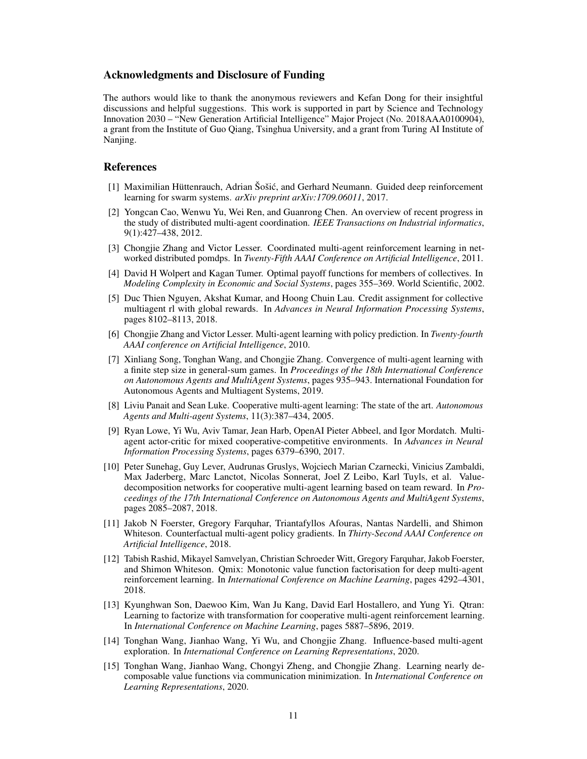## Acknowledgments and Disclosure of Funding

The authors would like to thank the anonymous reviewers and Kefan Dong for their insightful discussions and helpful suggestions. This work is supported in part by Science and Technology Innovation 2030 – "New Generation Artificial Intelligence" Major Project (No. 2018AAA0100904), a grant from the Institute of Guo Qiang, Tsinghua University, and a grant from Turing AI Institute of Nanjing.

#### References

- <span id="page-10-0"></span>[1] Maximilian Hüttenrauch, Adrian Šošic, and Gerhard Neumann. Guided deep reinforcement ´ learning for swarm systems. *arXiv preprint arXiv:1709.06011*, 2017.
- <span id="page-10-1"></span>[2] Yongcan Cao, Wenwu Yu, Wei Ren, and Guanrong Chen. An overview of recent progress in the study of distributed multi-agent coordination. *IEEE Transactions on Industrial informatics*, 9(1):427–438, 2012.
- <span id="page-10-2"></span>[3] Chongjie Zhang and Victor Lesser. Coordinated multi-agent reinforcement learning in networked distributed pomdps. In *Twenty-Fifth AAAI Conference on Artificial Intelligence*, 2011.
- <span id="page-10-3"></span>[4] David H Wolpert and Kagan Tumer. Optimal payoff functions for members of collectives. In *Modeling Complexity in Economic and Social Systems*, pages 355–369. World Scientific, 2002.
- <span id="page-10-4"></span>[5] Duc Thien Nguyen, Akshat Kumar, and Hoong Chuin Lau. Credit assignment for collective multiagent rl with global rewards. In *Advances in Neural Information Processing Systems*, pages 8102–8113, 2018.
- <span id="page-10-5"></span>[6] Chongjie Zhang and Victor Lesser. Multi-agent learning with policy prediction. In *Twenty-fourth AAAI conference on Artificial Intelligence*, 2010.
- <span id="page-10-6"></span>[7] Xinliang Song, Tonghan Wang, and Chongjie Zhang. Convergence of multi-agent learning with a finite step size in general-sum games. In *Proceedings of the 18th International Conference on Autonomous Agents and MultiAgent Systems*, pages 935–943. International Foundation for Autonomous Agents and Multiagent Systems, 2019.
- <span id="page-10-7"></span>[8] Liviu Panait and Sean Luke. Cooperative multi-agent learning: The state of the art. *Autonomous Agents and Multi-agent Systems*, 11(3):387–434, 2005.
- <span id="page-10-8"></span>[9] Ryan Lowe, Yi Wu, Aviv Tamar, Jean Harb, OpenAI Pieter Abbeel, and Igor Mordatch. Multiagent actor-critic for mixed cooperative-competitive environments. In *Advances in Neural Information Processing Systems*, pages 6379–6390, 2017.
- <span id="page-10-9"></span>[10] Peter Sunehag, Guy Lever, Audrunas Gruslys, Wojciech Marian Czarnecki, Vinicius Zambaldi, Max Jaderberg, Marc Lanctot, Nicolas Sonnerat, Joel Z Leibo, Karl Tuyls, et al. Valuedecomposition networks for cooperative multi-agent learning based on team reward. In *Proceedings of the 17th International Conference on Autonomous Agents and MultiAgent Systems*, pages 2085–2087, 2018.
- <span id="page-10-12"></span>[11] Jakob N Foerster, Gregory Farquhar, Triantafyllos Afouras, Nantas Nardelli, and Shimon Whiteson. Counterfactual multi-agent policy gradients. In *Thirty-Second AAAI Conference on Artificial Intelligence*, 2018.
- <span id="page-10-11"></span>[12] Tabish Rashid, Mikayel Samvelyan, Christian Schroeder Witt, Gregory Farquhar, Jakob Foerster, and Shimon Whiteson. Qmix: Monotonic value function factorisation for deep multi-agent reinforcement learning. In *International Conference on Machine Learning*, pages 4292–4301, 2018.
- <span id="page-10-10"></span>[13] Kyunghwan Son, Daewoo Kim, Wan Ju Kang, David Earl Hostallero, and Yung Yi. Qtran: Learning to factorize with transformation for cooperative multi-agent reinforcement learning. In *International Conference on Machine Learning*, pages 5887–5896, 2019.
- [14] Tonghan Wang, Jianhao Wang, Yi Wu, and Chongjie Zhang. Influence-based multi-agent exploration. In *International Conference on Learning Representations*, 2020.
- [15] Tonghan Wang, Jianhao Wang, Chongyi Zheng, and Chongjie Zhang. Learning nearly decomposable value functions via communication minimization. In *International Conference on Learning Representations*, 2020.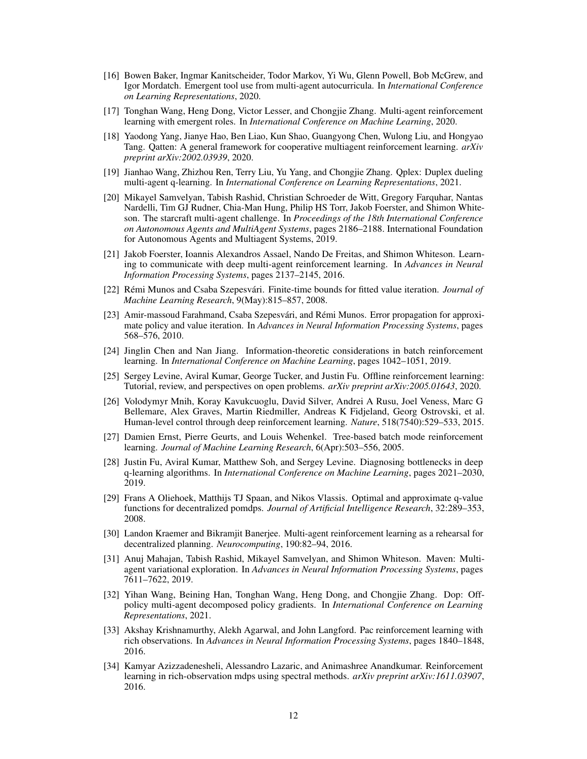- [16] Bowen Baker, Ingmar Kanitscheider, Todor Markov, Yi Wu, Glenn Powell, Bob McGrew, and Igor Mordatch. Emergent tool use from multi-agent autocurricula. In *International Conference on Learning Representations*, 2020.
- [17] Tonghan Wang, Heng Dong, Victor Lesser, and Chongjie Zhang. Multi-agent reinforcement learning with emergent roles. In *International Conference on Machine Learning*, 2020.
- [18] Yaodong Yang, Jianye Hao, Ben Liao, Kun Shao, Guangyong Chen, Wulong Liu, and Hongyao Tang. Qatten: A general framework for cooperative multiagent reinforcement learning. *arXiv preprint arXiv:2002.03939*, 2020.
- <span id="page-11-0"></span>[19] Jianhao Wang, Zhizhou Ren, Terry Liu, Yu Yang, and Chongjie Zhang. Qplex: Duplex dueling multi-agent q-learning. In *International Conference on Learning Representations*, 2021.
- <span id="page-11-1"></span>[20] Mikayel Samvelyan, Tabish Rashid, Christian Schroeder de Witt, Gregory Farquhar, Nantas Nardelli, Tim GJ Rudner, Chia-Man Hung, Philip HS Torr, Jakob Foerster, and Shimon Whiteson. The starcraft multi-agent challenge. In *Proceedings of the 18th International Conference on Autonomous Agents and MultiAgent Systems*, pages 2186–2188. International Foundation for Autonomous Agents and Multiagent Systems, 2019.
- <span id="page-11-2"></span>[21] Jakob Foerster, Ioannis Alexandros Assael, Nando De Freitas, and Shimon Whiteson. Learning to communicate with deep multi-agent reinforcement learning. In *Advances in Neural Information Processing Systems*, pages 2137–2145, 2016.
- <span id="page-11-3"></span>[22] Rémi Munos and Csaba Szepesvári. Finite-time bounds for fitted value iteration. *Journal of Machine Learning Research*, 9(May):815–857, 2008.
- [23] Amir-massoud Farahmand, Csaba Szepesvári, and Rémi Munos. Error propagation for approximate policy and value iteration. In *Advances in Neural Information Processing Systems*, pages 568–576, 2010.
- <span id="page-11-7"></span>[24] Jinglin Chen and Nan Jiang. Information-theoretic considerations in batch reinforcement learning. In *International Conference on Machine Learning*, pages 1042–1051, 2019.
- <span id="page-11-4"></span>[25] Sergey Levine, Aviral Kumar, George Tucker, and Justin Fu. Offline reinforcement learning: Tutorial, review, and perspectives on open problems. *arXiv preprint arXiv:2005.01643*, 2020.
- <span id="page-11-5"></span>[26] Volodymyr Mnih, Koray Kavukcuoglu, David Silver, Andrei A Rusu, Joel Veness, Marc G Bellemare, Alex Graves, Martin Riedmiller, Andreas K Fidjeland, Georg Ostrovski, et al. Human-level control through deep reinforcement learning. *Nature*, 518(7540):529–533, 2015.
- <span id="page-11-6"></span>[27] Damien Ernst, Pierre Geurts, and Louis Wehenkel. Tree-based batch mode reinforcement learning. *Journal of Machine Learning Research*, 6(Apr):503–556, 2005.
- <span id="page-11-8"></span>[28] Justin Fu, Aviral Kumar, Matthew Soh, and Sergey Levine. Diagnosing bottlenecks in deep q-learning algorithms. In *International Conference on Machine Learning*, pages 2021–2030, 2019.
- <span id="page-11-9"></span>[29] Frans A Oliehoek, Matthijs TJ Spaan, and Nikos Vlassis. Optimal and approximate q-value functions for decentralized pomdps. *Journal of Artificial Intelligence Research*, 32:289–353, 2008.
- <span id="page-11-10"></span>[30] Landon Kraemer and Bikramjit Banerjee. Multi-agent reinforcement learning as a rehearsal for decentralized planning. *Neurocomputing*, 190:82–94, 2016.
- <span id="page-11-11"></span>[31] Anuj Mahajan, Tabish Rashid, Mikayel Samvelyan, and Shimon Whiteson. Maven: Multiagent variational exploration. In *Advances in Neural Information Processing Systems*, pages 7611–7622, 2019.
- <span id="page-11-12"></span>[32] Yihan Wang, Beining Han, Tonghan Wang, Heng Dong, and Chongjie Zhang. Dop: Offpolicy multi-agent decomposed policy gradients. In *International Conference on Learning Representations*, 2021.
- <span id="page-11-13"></span>[33] Akshay Krishnamurthy, Alekh Agarwal, and John Langford. Pac reinforcement learning with rich observations. In *Advances in Neural Information Processing Systems*, pages 1840–1848, 2016.
- <span id="page-11-14"></span>[34] Kamyar Azizzadenesheli, Alessandro Lazaric, and Animashree Anandkumar. Reinforcement learning in rich-observation mdps using spectral methods. *arXiv preprint arXiv:1611.03907*, 2016.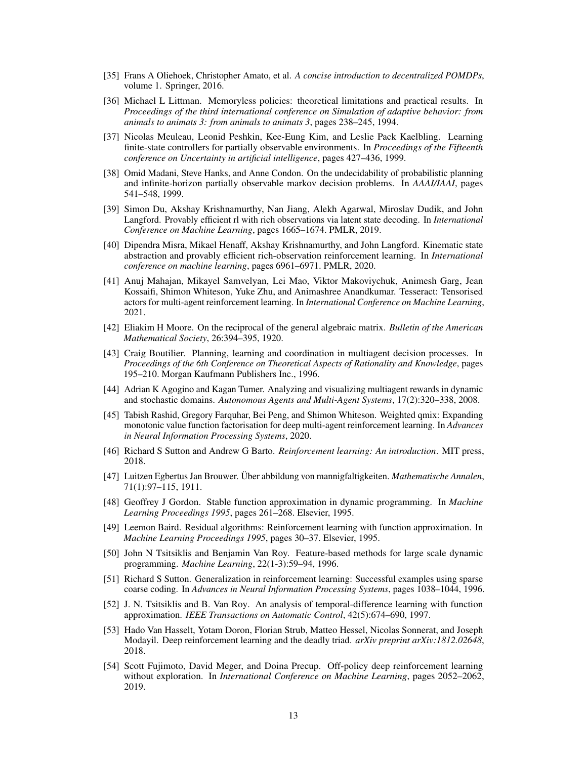- <span id="page-12-0"></span>[35] Frans A Oliehoek, Christopher Amato, et al. *A concise introduction to decentralized POMDPs*, volume 1. Springer, 2016.
- <span id="page-12-1"></span>[36] Michael L Littman. Memoryless policies: theoretical limitations and practical results. In *Proceedings of the third international conference on Simulation of adaptive behavior: from animals to animats 3: from animals to animats 3*, pages 238–245, 1994.
- <span id="page-12-2"></span>[37] Nicolas Meuleau, Leonid Peshkin, Kee-Eung Kim, and Leslie Pack Kaelbling. Learning finite-state controllers for partially observable environments. In *Proceedings of the Fifteenth conference on Uncertainty in artificial intelligence*, pages 427–436, 1999.
- <span id="page-12-3"></span>[38] Omid Madani, Steve Hanks, and Anne Condon. On the undecidability of probabilistic planning and infinite-horizon partially observable markov decision problems. In *AAAI/IAAI*, pages 541–548, 1999.
- <span id="page-12-4"></span>[39] Simon Du, Akshay Krishnamurthy, Nan Jiang, Alekh Agarwal, Miroslav Dudik, and John Langford. Provably efficient rl with rich observations via latent state decoding. In *International Conference on Machine Learning*, pages 1665–1674. PMLR, 2019.
- <span id="page-12-5"></span>[40] Dipendra Misra, Mikael Henaff, Akshay Krishnamurthy, and John Langford. Kinematic state abstraction and provably efficient rich-observation reinforcement learning. In *International conference on machine learning*, pages 6961–6971. PMLR, 2020.
- <span id="page-12-6"></span>[41] Anuj Mahajan, Mikayel Samvelyan, Lei Mao, Viktor Makoviychuk, Animesh Garg, Jean Kossaifi, Shimon Whiteson, Yuke Zhu, and Animashree Anandkumar. Tesseract: Tensorised actors for multi-agent reinforcement learning. In *International Conference on Machine Learning*, 2021.
- <span id="page-12-7"></span>[42] Eliakim H Moore. On the reciprocal of the general algebraic matrix. *Bulletin of the American Mathematical Society*, 26:394–395, 1920.
- <span id="page-12-8"></span>[43] Craig Boutilier. Planning, learning and coordination in multiagent decision processes. In *Proceedings of the 6th Conference on Theoretical Aspects of Rationality and Knowledge*, pages 195–210. Morgan Kaufmann Publishers Inc., 1996.
- <span id="page-12-9"></span>[44] Adrian K Agogino and Kagan Tumer. Analyzing and visualizing multiagent rewards in dynamic and stochastic domains. *Autonomous Agents and Multi-Agent Systems*, 17(2):320–338, 2008.
- <span id="page-12-10"></span>[45] Tabish Rashid, Gregory Farquhar, Bei Peng, and Shimon Whiteson. Weighted qmix: Expanding monotonic value function factorisation for deep multi-agent reinforcement learning. In *Advances in Neural Information Processing Systems*, 2020.
- <span id="page-12-11"></span>[46] Richard S Sutton and Andrew G Barto. *Reinforcement learning: An introduction*. MIT press, 2018.
- <span id="page-12-12"></span>[47] Luitzen Egbertus Jan Brouwer. Über abbildung von mannigfaltigkeiten. *Mathematische Annalen*, 71(1):97–115, 1911.
- <span id="page-12-13"></span>[48] Geoffrey J Gordon. Stable function approximation in dynamic programming. In *Machine Learning Proceedings 1995*, pages 261–268. Elsevier, 1995.
- <span id="page-12-14"></span>[49] Leemon Baird. Residual algorithms: Reinforcement learning with function approximation. In *Machine Learning Proceedings 1995*, pages 30–37. Elsevier, 1995.
- <span id="page-12-15"></span>[50] John N Tsitsiklis and Benjamin Van Roy. Feature-based methods for large scale dynamic programming. *Machine Learning*, 22(1-3):59–94, 1996.
- <span id="page-12-16"></span>[51] Richard S Sutton. Generalization in reinforcement learning: Successful examples using sparse coarse coding. In *Advances in Neural Information Processing Systems*, pages 1038–1044, 1996.
- [52] J. N. Tsitsiklis and B. Van Roy. An analysis of temporal-difference learning with function approximation. *IEEE Transactions on Automatic Control*, 42(5):674–690, 1997.
- <span id="page-12-17"></span>[53] Hado Van Hasselt, Yotam Doron, Florian Strub, Matteo Hessel, Nicolas Sonnerat, and Joseph Modayil. Deep reinforcement learning and the deadly triad. *arXiv preprint arXiv:1812.02648*, 2018.
- <span id="page-12-18"></span>[54] Scott Fujimoto, David Meger, and Doina Precup. Off-policy deep reinforcement learning without exploration. In *International Conference on Machine Learning*, pages 2052–2062, 2019.